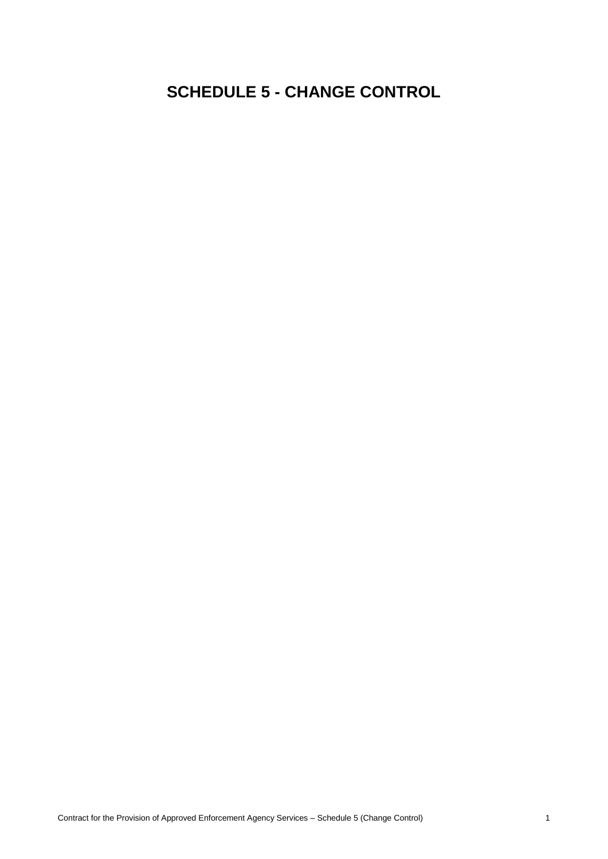## **SCHEDULE 5 - CHANGE CONTROL**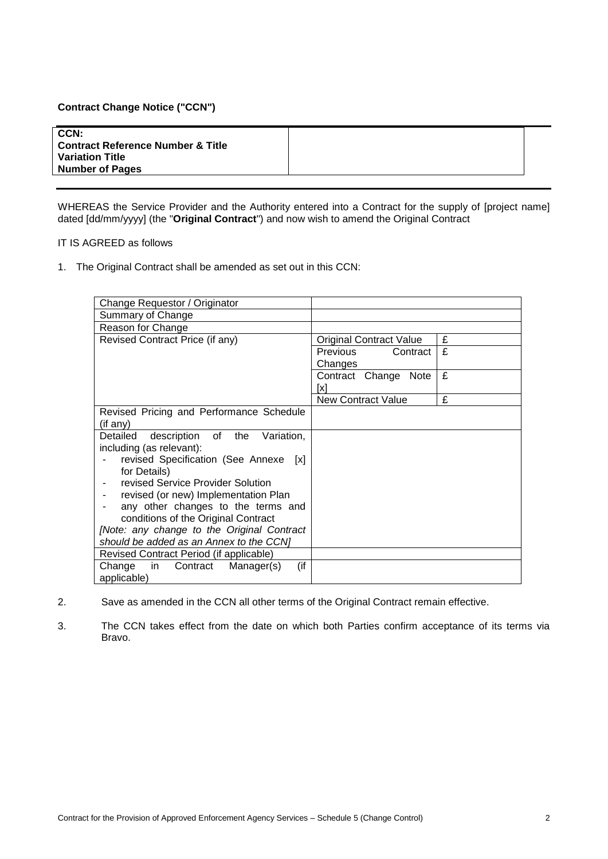## **Contract Change Notice ("CCN")**

| CCN:<br><b>Contract Reference Number &amp; Title</b><br><b>Variation Title</b><br><b>Number of Pages</b> |
|----------------------------------------------------------------------------------------------------------|
|----------------------------------------------------------------------------------------------------------|

WHEREAS the Service Provider and the Authority entered into a Contract for the supply of [project name] dated [dd/mm/yyyy] (the "**Original Contract**") and now wish to amend the Original Contract

## IT IS AGREED as follows

1. The Original Contract shall be amended as set out in this CCN:

| Change Requestor / Originator                                                         |                                |   |
|---------------------------------------------------------------------------------------|--------------------------------|---|
| Summary of Change                                                                     |                                |   |
| Reason for Change                                                                     |                                |   |
| Revised Contract Price (if any)                                                       | <b>Original Contract Value</b> | £ |
|                                                                                       | Previous<br>Contract           | £ |
|                                                                                       | Changes                        |   |
|                                                                                       | Contract Change Note           | £ |
|                                                                                       | [x]                            |   |
|                                                                                       | <b>New Contract Value</b>      | £ |
| Revised Pricing and Performance Schedule                                              |                                |   |
| (if any)                                                                              |                                |   |
| description of the Variation,<br>Detailed                                             |                                |   |
| including (as relevant):                                                              |                                |   |
| revised Specification (See Annexe<br>$\lceil x \rceil$                                |                                |   |
| for Details)                                                                          |                                |   |
| revised Service Provider Solution                                                     |                                |   |
| revised (or new) Implementation Plan                                                  |                                |   |
| any other changes to the terms and                                                    |                                |   |
| conditions of the Original Contract                                                   |                                |   |
| [Note: any change to the Original Contract<br>should be added as an Annex to the CCN1 |                                |   |
|                                                                                       |                                |   |
| Revised Contract Period (if applicable)                                               |                                |   |
| (if<br>Change in Contract<br>Manager(s)                                               |                                |   |
| applicable)                                                                           |                                |   |

- 2. Save as amended in the CCN all other terms of the Original Contract remain effective.
- 3. The CCN takes effect from the date on which both Parties confirm acceptance of its terms via Bravo.